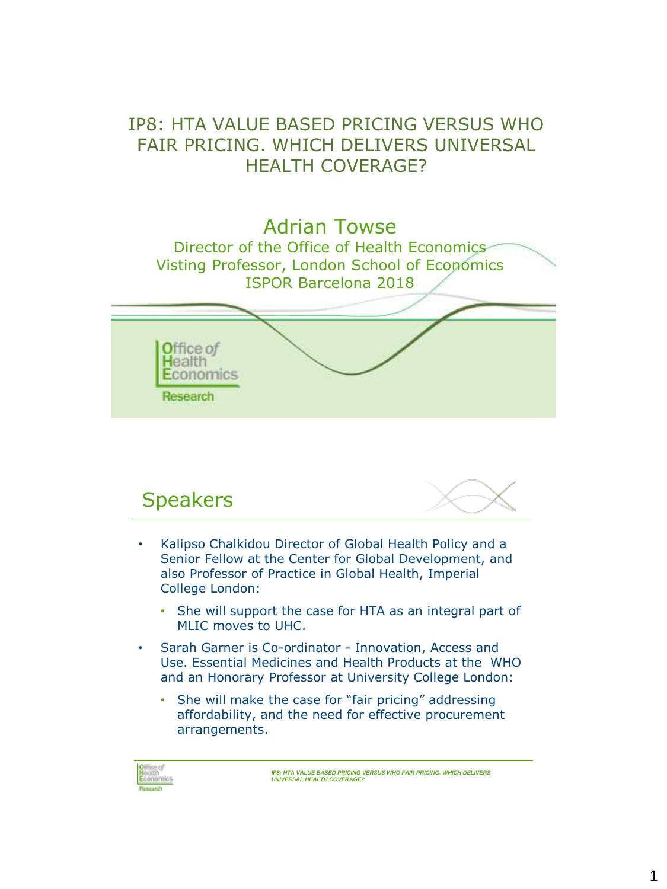### IP8: HTA VALUE BASED PRICING VERSUS WHO FAIR PRICING. WHICH DELIVERS UNIVERSAL HEALTH COVERAGE?



## Speakers



- Kalipso Chalkidou Director of Global Health Policy and a Senior Fellow at the Center for Global Development, and also Professor of Practice in Global Health, Imperial College London:
	- She will support the case for HTA as an integral part of MLIC moves to UHC.
- Sarah Garner is Co-ordinator Innovation, Access and Use. Essential Medicines and Health Products at the WHO and an Honorary Professor at University College London:
	- She will make the case for "fair pricing" addressing affordability, and the need for effective procurement arrangements.

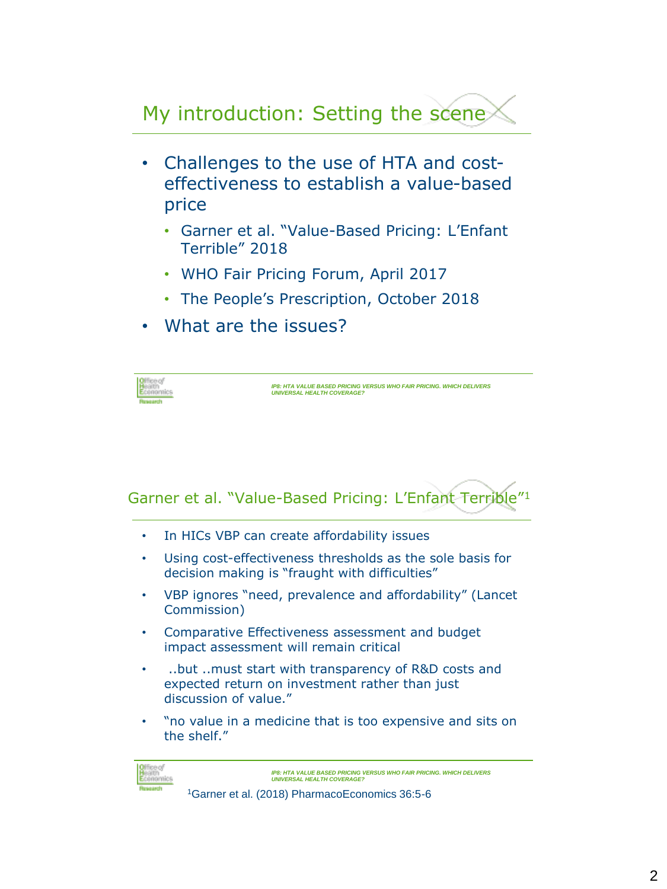# My introduction: Setting the scene

- Challenges to the use of HTA and costeffectiveness to establish a value-based price
	- Garner et al. "Value-Based Pricing: L'Enfant Terrible" 2018
	- WHO Fair Pricing Forum, April 2017
	- The People's Prescription, October 2018
- What are the issues?

| IP8: HTA VALUE BASED PRICING VERSUS WHO FAIR PRICING. WHICH DELIVERS<br><b>UNIVERSAL HEALTH COVERAGE?</b> |                                                                                                                              |
|-----------------------------------------------------------------------------------------------------------|------------------------------------------------------------------------------------------------------------------------------|
|                                                                                                           | Garner et al. "Value-Based Pricing: L'Enfant Terric                                                                          |
|                                                                                                           | In HICs VBP can create affordability issues                                                                                  |
|                                                                                                           | Using cost-effectiveness thresholds as the sole basis for<br>decision making is "fraught with difficulties"                  |
|                                                                                                           | VBP ignores "need, prevalence and affordability" (Lancet<br>Commission)                                                      |
|                                                                                                           | Comparative Effectiveness assessment and budget<br>impact assessment will remain critical                                    |
|                                                                                                           | but must start with transparency of R&D costs and<br>expected return on investment rather than just<br>discussion of value." |
|                                                                                                           | "no value in a medicine that is too expensive and sits on<br>the shelf."                                                     |
|                                                                                                           | IP8: HTA VALUE BASED PRICING VERSUS WHO FAIR PRICING. WHICH DELIVERS<br><b>UNIVERSAL HEALTH COVERAGE?</b>                    |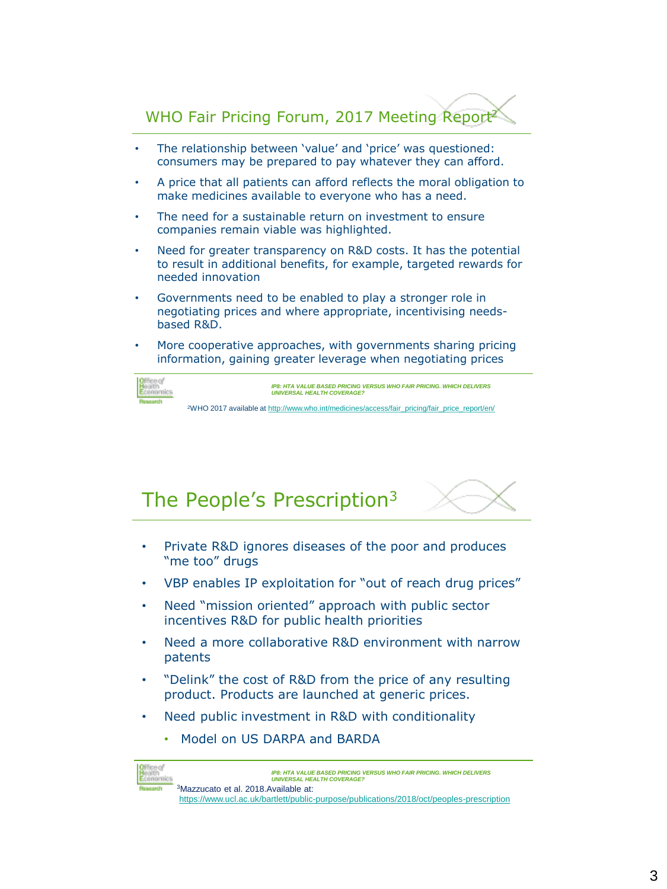

- The relationship between 'value' and 'price' was questioned: consumers may be prepared to pay whatever they can afford.
- A price that all patients can afford reflects the moral obligation to make medicines available to everyone who has a need.
- The need for a sustainable return on investment to ensure companies remain viable was highlighted.
- Need for greater transparency on R&D costs. It has the potential to result in additional benefits, for example, targeted rewards for needed innovation
- Governments need to be enabled to play a stronger role in negotiating prices and where appropriate, incentivising needsbased R&D.
- More cooperative approaches, with governments sharing pricing information, gaining greater leverage when negotiating prices





- Private R&D ignores diseases of the poor and produces "me too" drugs
- VBP enables IP exploitation for "out of reach drug prices"
- Need "mission oriented" approach with public sector incentives R&D for public health priorities
- Need a more collaborative R&D environment with narrow patents
- "Delink" the cost of R&D from the price of any resulting product. Products are launched at generic prices.
- Need public investment in R&D with conditionality
	- Model on US DARPA and BARDA